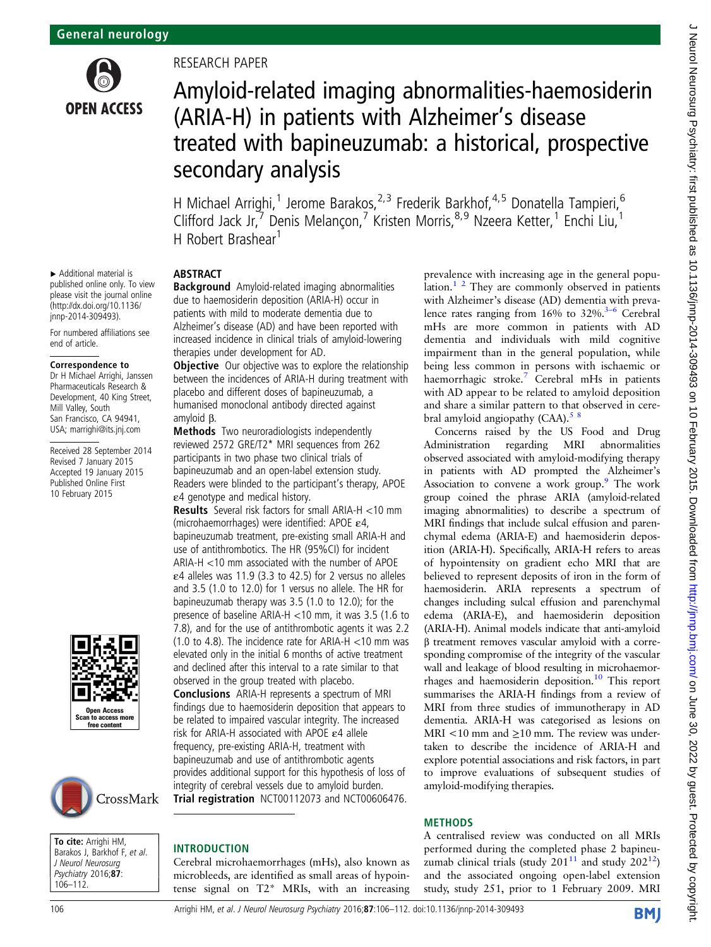

# RESEARCH PAPER

# Amyloid-related imaging abnormalities-haemosiderin (ARIA-H) in patients with Alzheimer's disease treated with bapineuzumab: a historical, prospective secondary analysis

H Michael Arrighi,<sup>1</sup> Jerome Barakos,<sup>2,3</sup> Frederik Barkhof,<sup>4,5</sup> Donatella Tampieri,<sup>6</sup> Clifford Jack Jr, Denis Melançon,<sup>7</sup> Kristen Morris,<sup>8,9</sup> Nzeera Ketter,<sup>1</sup> Enchi Liu,<sup>1</sup> H Robert Brashear<sup>1</sup>

# ABSTRACT

Background Amyloid-related imaging abnormalities due to haemosiderin deposition (ARIA-H) occur in patients with mild to moderate dementia due to Alzheimer's disease (AD) and have been reported with increased incidence in clinical trials of amyloid-lowering therapies under development for AD.

**Objective** Our objective was to explore the relationship between the incidences of ARIA-H during treatment with placebo and different doses of bapineuzumab, a humanised monoclonal antibody directed against amyloid β.

Methods Two neuroradiologists independently reviewed 2572 GRE/T2\* MRI sequences from 262 participants in two phase two clinical trials of bapineuzumab and an open-label extension study. Readers were blinded to the participant's therapy, APOE ε4 genotype and medical history.

Results Several risk factors for small ARIA-H <10 mm (microhaemorrhages) were identified: APOE ε4, bapineuzumab treatment, pre-existing small ARIA-H and use of antithrombotics. The HR (95%CI) for incident ARIA-H <10 mm associated with the number of APOE  $\varepsilon$ 4 alleles was 11.9 (3.3 to 42.5) for 2 versus no alleles and 3.5 (1.0 to 12.0) for 1 versus no allele. The HR for bapineuzumab therapy was 3.5 (1.0 to 12.0); for the presence of baseline ARIA-H <10 mm, it was 3.5 (1.6 to 7.8), and for the use of antithrombotic agents it was 2.2 (1.0 to 4.8). The incidence rate for ARIA-H  $<$  10 mm was elevated only in the initial 6 months of active treatment and declined after this interval to a rate similar to that observed in the group treated with placebo. Conclusions ARIA-H represents a spectrum of MRI findings due to haemosiderin deposition that appears to be related to impaired vascular integrity. The increased risk for ARIA-H associated with APOE ε4 allele frequency, pre-existing ARIA-H, treatment with bapineuzumab and use of antithrombotic agents provides additional support for this hypothesis of loss of integrity of cerebral vessels due to amyloid burden. Trial registration NCT00112073 and NCT00606476.

INTRODUCTION

Cerebral microhaemorrhages (mHs), also known as microbleeds, are identified as small areas of hypointense signal on T2\* MRIs, with an increasing prevalence with increasing age in the general population.<sup>1 2</sup> They are commonly observed in patients with Alzheimer's disease (AD) dementia with prevalence rates ranging from  $16\%$  to  $32\%$ .<sup>3–6</sup> Cerebral mHs are more common in patients with AD dementia and individuals with mild cognitive impairment than in the general population, while being less common in persons with ischaemic or haemorrhagic stroke.<sup>[7](#page-6-0)</sup> Cerebral mHs in patients with AD appear to be related to amyloid deposition and share a similar pattern to that observed in cerebral amyloid angiopathy  $(CAA)$ .<sup>[5 8](#page-6-0)</sup>

Concerns raised by the US Food and Drug Administration regarding MRI abnormalities observed associated with amyloid-modifying therapy in patients with AD prompted the Alzheimer's Association to convene a work group.<sup>9</sup> The work group coined the phrase ARIA (amyloid-related imaging abnormalities) to describe a spectrum of MRI findings that include sulcal effusion and parenchymal edema (ARIA-E) and haemosiderin deposition (ARIA-H). Specifically, ARIA-H refers to areas of hypointensity on gradient echo MRI that are believed to represent deposits of iron in the form of haemosiderin. ARIA represents a spectrum of changes including sulcal effusion and parenchymal edema (ARIA-E), and haemosiderin deposition (ARIA-H). Animal models indicate that anti-amyloid β treatment removes vascular amyloid with a corresponding compromise of the integrity of the vascular wall and leakage of blood resulting in microhaemor-rhages and haemosiderin deposition.<sup>[10](#page-6-0)</sup> This report summarises the ARIA-H findings from a review of MRI from three studies of immunotherapy in AD dementia. ARIA-H was categorised as lesions on MRI <10 mm and  $\geq$ 10 mm. The review was undertaken to describe the incidence of ARIA-H and explore potential associations and risk factors, in part to improve evaluations of subsequent studies of amyloid-modifying therapies.

## **METHODS**

A centralised review was conducted on all MRIs performed during the completed phase 2 bapineuzumab clinical trials (study  $201^{11}$  $201^{11}$  $201^{11}$  and study  $202^{12}$  $202^{12}$  $202^{12}$ ) and the associated ongoing open-label extension study, study 251, prior to 1 February 2009. MRI

# Correspondence to Dr H Michael Arrighi, Janssen Pharmaceuticals Research &

▸ Additional material is published online only. To view please visit the journal online [\(http://dx.doi.org/10.1136/](http://dx.doi.org/10.1136/jnnp-2014-309493) [jnnp-2014-309493](http://dx.doi.org/10.1136/jnnp-2014-309493)). For numbered affiliations see

end of article.

Development, 40 King Street, Mill Valley, South San Francisco, CA 94941, USA; marrighi@its.jnj.com

Received 28 September 2014 Revised 7 January 2015 Accepted 19 January 2015 Published Online First 10 February 2015





To cite: Arrighi HM, Barakos J, Barkhof F, et al. J Neurol Neurosurg Psychiatry 2016;87: 106–112.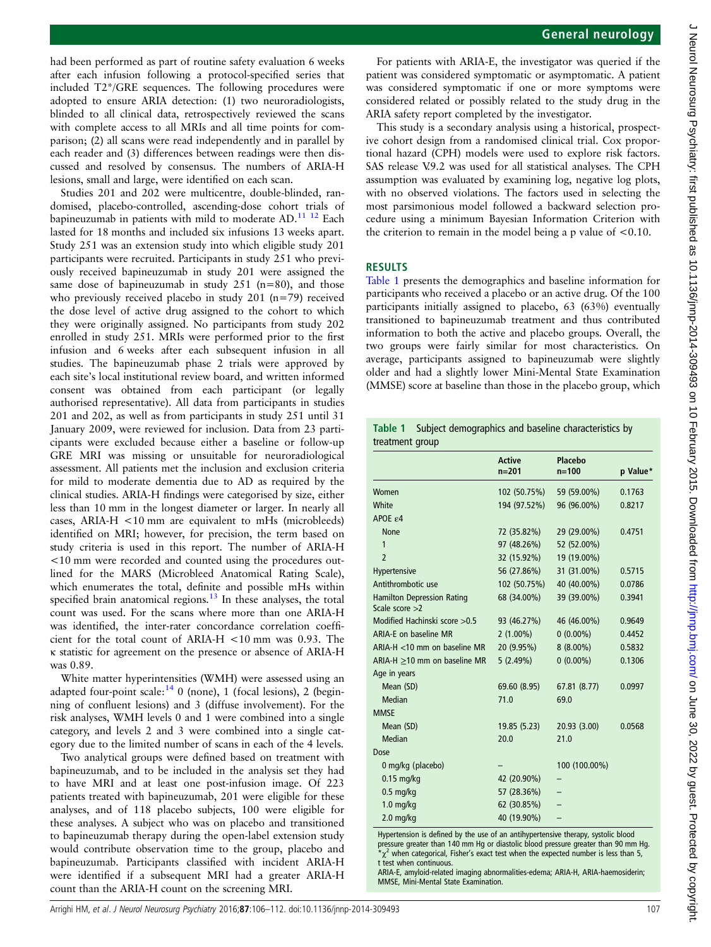J Neurol Neurosurg Psychiatry: first published as 10.1136/jnnp-2014-309493 on 10 February 2015. Downloaded from http://jnnp.bmj.com/ on June 30, 2022 by guest. Protected by copyright J Neurol Neurosurg Psychiatry: first published as 10.1136/jnn-2014-309493 on 10 February 2015. Downloaded from Admisded from Anne 20.1136/jnnp.bmj.com/ 2022 by guest. Protected by copyright.

had been performed as part of routine safety evaluation 6 weeks after each infusion following a protocol-specified series that included T2\*/GRE sequences. The following procedures were adopted to ensure ARIA detection: (1) two neuroradiologists, blinded to all clinical data, retrospectively reviewed the scans with complete access to all MRIs and all time points for comparison; (2) all scans were read independently and in parallel by each reader and (3) differences between readings were then discussed and resolved by consensus. The numbers of ARIA-H lesions, small and large, were identified on each scan.

Studies 201 and 202 were multicentre, double-blinded, randomised, placebo-controlled, ascending-dose cohort trials of bapineuzumab in patients with mild to moderate AD.<sup>[11 12](#page-6-0)</sup> Each lasted for 18 months and included six infusions 13 weeks apart. Study 251 was an extension study into which eligible study 201 participants were recruited. Participants in study 251 who previously received bapineuzumab in study 201 were assigned the same dose of bapineuzumab in study  $251$  (n=80), and those who previously received placebo in study 201 (n=79) received the dose level of active drug assigned to the cohort to which they were originally assigned. No participants from study 202 enrolled in study 251. MRIs were performed prior to the first infusion and 6 weeks after each subsequent infusion in all studies. The bapineuzumab phase 2 trials were approved by each site's local institutional review board, and written informed consent was obtained from each participant (or legally authorised representative). All data from participants in studies 201 and 202, as well as from participants in study 251 until 31 January 2009, were reviewed for inclusion. Data from 23 participants were excluded because either a baseline or follow-up GRE MRI was missing or unsuitable for neuroradiological assessment. All patients met the inclusion and exclusion criteria for mild to moderate dementia due to AD as required by the clinical studies. ARIA-H findings were categorised by size, either less than 10 mm in the longest diameter or larger. In nearly all cases, ARIA-H <10 mm are equivalent to mHs (microbleeds) identified on MRI; however, for precision, the term based on study criteria is used in this report. The number of ARIA-H <10 mm were recorded and counted using the procedures outlined for the MARS (Microbleed Anatomical Rating Scale), which enumerates the total, definite and possible mHs within specified brain anatomical regions.<sup>13</sup> In these analyses, the total count was used. For the scans where more than one ARIA-H was identified, the inter-rater concordance correlation coefficient for the total count of ARIA-H <10 mm was 0.93. The κ statistic for agreement on the presence or absence of ARIA-H was 0.89.

White matter hyperintensities (WMH) were assessed using an adapted four-point scale: $14$  0 (none), 1 (focal lesions), 2 (beginning of confluent lesions) and 3 (diffuse involvement). For the risk analyses, WMH levels 0 and 1 were combined into a single category, and levels 2 and 3 were combined into a single category due to the limited number of scans in each of the 4 levels.

Two analytical groups were defined based on treatment with bapineuzumab, and to be included in the analysis set they had to have MRI and at least one post-infusion image. Of 223 patients treated with bapineuzumab, 201 were eligible for these analyses, and of 118 placebo subjects, 100 were eligible for these analyses. A subject who was on placebo and transitioned to bapineuzumab therapy during the open-label extension study would contribute observation time to the group, placebo and bapineuzumab. Participants classified with incident ARIA-H were identified if a subsequent MRI had a greater ARIA-H count than the ARIA-H count on the screening MRI.

For patients with ARIA-E, the investigator was queried if the patient was considered symptomatic or asymptomatic. A patient was considered symptomatic if one or more symptoms were considered related or possibly related to the study drug in the ARIA safety report completed by the investigator.

This study is a secondary analysis using a historical, prospective cohort design from a randomised clinical trial. Cox proportional hazard (CPH) models were used to explore risk factors. SAS release V.9.2 was used for all statistical analyses. The CPH assumption was evaluated by examining log, negative log plots, with no observed violations. The factors used in selecting the most parsimonious model followed a backward selection procedure using a minimum Bayesian Information Criterion with the criterion to remain in the model being a p value of <0.10.

# RESULTS

Table 1 presents the demographics and baseline information for participants who received a placebo or an active drug. Of the 100 participants initially assigned to placebo, 63 (63%) eventually transitioned to bapineuzumab treatment and thus contributed information to both the active and placebo groups. Overall, the two groups were fairly similar for most characteristics. On average, participants assigned to bapineuzumab were slightly older and had a slightly lower Mini-Mental State Examination (MMSE) score at baseline than those in the placebo group, which

|                 | Table 1 Subject demographics and baseline characteristics by |
|-----------------|--------------------------------------------------------------|
| treatment group |                                                              |

|                                                       | <b>Active</b><br>$n = 201$ | Placebo<br>$n = 100$ | p Value* |
|-------------------------------------------------------|----------------------------|----------------------|----------|
| Women                                                 | 102 (50.75%)               | 59 (59.00%)          | 0.1763   |
| White                                                 | 194 (97.52%)               | 96 (96.00%)          | 0.8217   |
| APOE ε4                                               |                            |                      |          |
| <b>None</b>                                           | 72 (35.82%)                | 29 (29.00%)          | 0.4751   |
| 1                                                     | 97 (48.26%)                | 52 (52.00%)          |          |
| $\overline{\phantom{0}}$                              | 32 (15.92%)                | 19 (19.00%)          |          |
| Hypertensive                                          | 56 (27.86%)                | 31 (31.00%)          | 0.5715   |
| Antithrombotic use                                    | 102 (50.75%)               | 40 (40.00%)          | 0.0786   |
| <b>Hamilton Depression Rating</b><br>Scale score $>2$ | 68 (34.00%)                | 39 (39.00%)          | 0.3941   |
| Modified Hachinski score > 0.5                        | 93 (46.27%)                | 46 (46.00%)          | 0.9649   |
| ARIA-E on baseline MR                                 | $2(1.00\%)$                | $0(0.00\%)$          | 0.4452   |
| ARIA-H <10 mm on baseline MR                          | 20 (9.95%)                 | $8(8.00\%)$          | 0.5832   |
| ARIA-H $\geq$ 10 mm on baseline MR                    | 5(2.49%)                   | $0(0.00\%)$          | 0.1306   |
| Age in years                                          |                            |                      |          |
| Mean (SD)                                             | 69.60 (8.95)               | 67.81 (8.77)         | 0.0997   |
| Median                                                | 71.0                       | 69.0                 |          |
| <b>MMSE</b>                                           |                            |                      |          |
| Mean (SD)                                             | 19.85 (5.23)               | 20.93 (3.00)         | 0.0568   |
| Median                                                | 20.0                       | 21.0                 |          |
| Dose                                                  |                            |                      |          |
| 0 mg/kg (placebo)                                     |                            | 100 (100.00%)        |          |
| $0.15$ mg/kg                                          | 42 (20.90%)                |                      |          |
| $0.5$ mg/kg                                           | 57 (28.36%)                |                      |          |
| $1.0$ mg/kg                                           | 62 (30.85%)                |                      |          |
| $2.0$ mg/kg                                           | 40 (19.90%)                |                      |          |
|                                                       |                            |                      |          |

Hypertension is defined by the use of an antihypertensive therapy, systolic blood pressure greater than 140 mm Hg or diastolic blood pressure greater than 90 mm Hg  $\chi^2$  when categorical, Fisher's exact test when the expected number is less than 5, t test when continuous.

ARIA-E, amyloid-related imaging abnormalities-edema; ARIA-H, ARIA-haemosiderin; MMSE, Mini-Mental State Examination.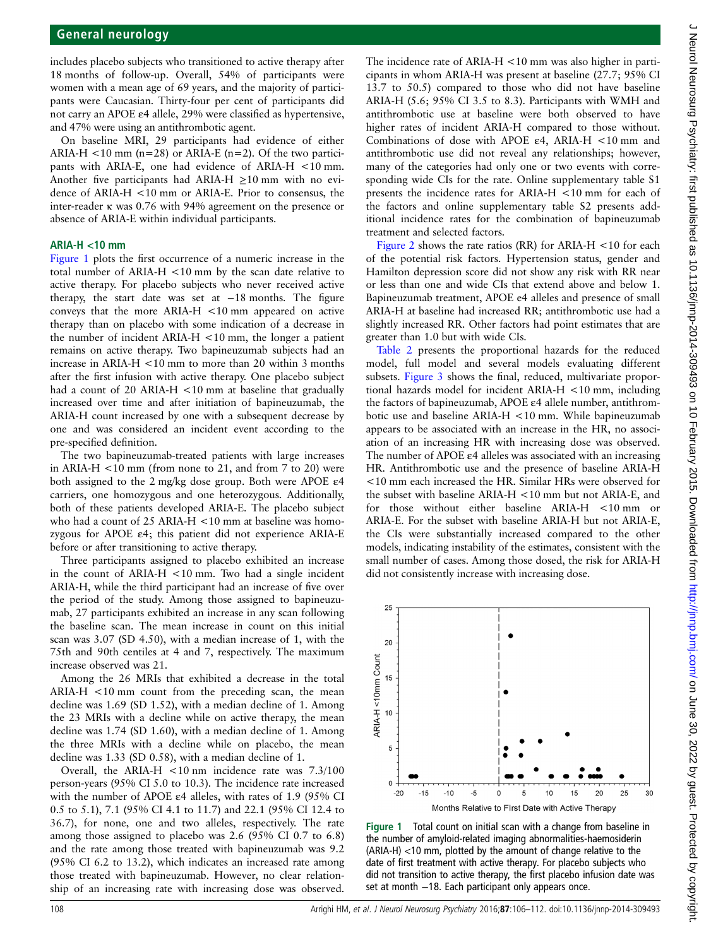includes placebo subjects who transitioned to active therapy after 18 months of follow-up. Overall, 54% of participants were women with a mean age of 69 years, and the majority of participants were Caucasian. Thirty-four per cent of participants did not carry an APOE ε4 allele, 29% were classified as hypertensive, and 47% were using an antithrombotic agent.

On baseline MRI, 29 participants had evidence of either ARIA-H  $\lt$ 10 mm (n=28) or ARIA-E (n=2). Of the two participants with ARIA-E, one had evidence of ARIA-H <10 mm. Another five participants had ARIA-H  $\geq$ 10 mm with no evidence of ARIA-H <10 mm or ARIA-E. Prior to consensus, the inter-reader κ was 0.76 with 94% agreement on the presence or absence of ARIA-E within individual participants.

#### ARIA-H <10 mm

Figure 1 plots the first occurrence of a numeric increase in the total number of ARIA-H <10 mm by the scan date relative to active therapy. For placebo subjects who never received active therapy, the start date was set at −18 months. The figure conveys that the more ARIA-H <10 mm appeared on active therapy than on placebo with some indication of a decrease in the number of incident ARIA-H <10 mm, the longer a patient remains on active therapy. Two bapineuzumab subjects had an increase in ARIA-H <10 mm to more than 20 within 3 months after the first infusion with active therapy. One placebo subject had a count of 20 ARIA-H <10 mm at baseline that gradually increased over time and after initiation of bapineuzumab, the ARIA-H count increased by one with a subsequent decrease by one and was considered an incident event according to the pre-specified definition.

The two bapineuzumab-treated patients with large increases in ARIA-H  $<$  10 mm (from none to 21, and from 7 to 20) were both assigned to the 2 mg/kg dose group. Both were APOE ε4 carriers, one homozygous and one heterozygous. Additionally, both of these patients developed ARIA-E. The placebo subject who had a count of 25 ARIA-H <10 mm at baseline was homozygous for APOE ε4; this patient did not experience ARIA-E before or after transitioning to active therapy.

Three participants assigned to placebo exhibited an increase in the count of ARIA-H <10 mm. Two had a single incident ARIA-H, while the third participant had an increase of five over the period of the study. Among those assigned to bapineuzumab, 27 participants exhibited an increase in any scan following the baseline scan. The mean increase in count on this initial scan was 3.07 (SD 4.50), with a median increase of 1, with the 75th and 90th centiles at 4 and 7, respectively. The maximum increase observed was 21.

Among the 26 MRIs that exhibited a decrease in the total ARIA-H <10 mm count from the preceding scan, the mean decline was 1.69 (SD 1.52), with a median decline of 1. Among the 23 MRIs with a decline while on active therapy, the mean decline was 1.74 (SD 1.60), with a median decline of 1. Among the three MRIs with a decline while on placebo, the mean decline was 1.33 (SD 0.58), with a median decline of 1.

Overall, the ARIA-H <10 nm incidence rate was 7.3/100 person-years (95% CI 5.0 to 10.3). The incidence rate increased with the number of APOE ε4 alleles, with rates of 1.9 (95% CI 0.5 to 5.1), 7.1 (95% CI 4.1 to 11.7) and 22.1 (95% CI 12.4 to 36.7), for none, one and two alleles, respectively. The rate among those assigned to placebo was 2.6 (95% CI 0.7 to 6.8) and the rate among those treated with bapineuzumab was 9.2 (95% CI 6.2 to 13.2), which indicates an increased rate among those treated with bapineuzumab. However, no clear relationship of an increasing rate with increasing dose was observed.

The incidence rate of ARIA-H <10 mm was also higher in participants in whom ARIA-H was present at baseline (27.7; 95% CI 13.7 to 50.5) compared to those who did not have baseline ARIA-H (5.6; 95% CI 3.5 to 8.3). Participants with WMH and antithrombotic use at baseline were both observed to have higher rates of incident ARIA-H compared to those without. Combinations of dose with APOE ε4, ARIA-H <10 mm and antithrombotic use did not reveal any relationships; however, many of the categories had only one or two events with corresponding wide CIs for the rate. Online supplementary table S1 presents the incidence rates for ARIA-H <10 mm for each of the factors and online supplementary table S2 presents additional incidence rates for the combination of bapineuzumab treatment and selected factors.

[Figure 2](#page-3-0) shows the rate ratios (RR) for ARIA-H  $\lt$ 10 for each of the potential risk factors. Hypertension status, gender and Hamilton depression score did not show any risk with RR near or less than one and wide CIs that extend above and below 1. Bapineuzumab treatment, APOE e4 alleles and presence of small ARIA-H at baseline had increased RR; antithrombotic use had a slightly increased RR. Other factors had point estimates that are greater than 1.0 but with wide CIs.

[Table 2](#page-4-0) presents the proportional hazards for the reduced model, full model and several models evaluating different subsets. [Figure 3](#page-4-0) shows the final, reduced, multivariate proportional hazards model for incident ARIA-H <10 mm, including the factors of bapineuzumab, APOE ε4 allele number, antithrombotic use and baseline ARIA-H <10 mm. While bapineuzumab appears to be associated with an increase in the HR, no association of an increasing HR with increasing dose was observed. The number of APOE ε4 alleles was associated with an increasing HR. Antithrombotic use and the presence of baseline ARIA-H <10 mm each increased the HR. Similar HRs were observed for the subset with baseline ARIA-H <10 mm but not ARIA-E, and for those without either baseline ARIA-H <10 mm or ARIA-E. For the subset with baseline ARIA-H but not ARIA-E, the CIs were substantially increased compared to the other models, indicating instability of the estimates, consistent with the small number of cases. Among those dosed, the risk for ARIA-H did not consistently increase with increasing dose.



Figure 1 Total count on initial scan with a change from baseline in the number of amyloid-related imaging abnormalities-haemosiderin (ARIA-H) <10 mm, plotted by the amount of change relative to the date of first treatment with active therapy. For placebo subjects who did not transition to active therapy, the first placebo infusion date was set at month −18. Each participant only appears once.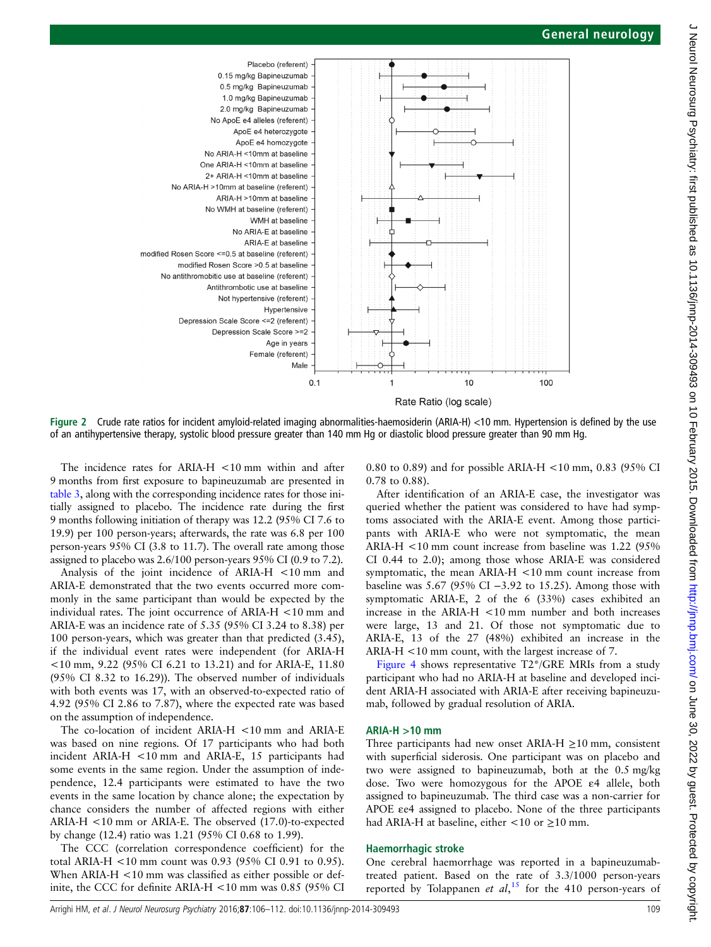<span id="page-3-0"></span>

Rate Ratio (log scale)

Figure 2 Crude rate ratios for incident amyloid-related imaging abnormalities-haemosiderin (ARIA-H) <10 mm. Hypertension is defined by the use of an antihypertensive therapy, systolic blood pressure greater than 140 mm Hg or diastolic blood pressure greater than 90 mm Hg.

The incidence rates for ARIA-H <10 mm within and after 9 months from first exposure to bapineuzumab are presented in [table 3](#page-5-0), along with the corresponding incidence rates for those initially assigned to placebo. The incidence rate during the first 9 months following initiation of therapy was 12.2 (95% CI 7.6 to 19.9) per 100 person-years; afterwards, the rate was 6.8 per 100 person-years 95% CI (3.8 to 11.7). The overall rate among those assigned to placebo was 2.6/100 person-years 95% CI (0.9 to 7.2).

Analysis of the joint incidence of ARIA-H <10 mm and ARIA-E demonstrated that the two events occurred more commonly in the same participant than would be expected by the individual rates. The joint occurrence of ARIA-H <10 mm and ARIA-E was an incidence rate of 5.35 (95% CI 3.24 to 8.38) per 100 person-years, which was greater than that predicted (3.45), if the individual event rates were independent (for ARIA-H <10 mm, 9.22 (95% CI 6.21 to 13.21) and for ARIA-E, 11.80 (95% CI 8.32 to 16.29)). The observed number of individuals with both events was 17, with an observed-to-expected ratio of 4.92 (95% CI 2.86 to 7.87), where the expected rate was based on the assumption of independence.

The co-location of incident ARIA-H <10 mm and ARIA-E was based on nine regions. Of 17 participants who had both incident ARIA-H <10 mm and ARIA-E, 15 participants had some events in the same region. Under the assumption of independence, 12.4 participants were estimated to have the two events in the same location by chance alone; the expectation by chance considers the number of affected regions with either ARIA-H <10 mm or ARIA-E. The observed (17.0)-to-expected by change (12.4) ratio was 1.21 (95% CI 0.68 to 1.99).

The CCC (correlation correspondence coefficient) for the total ARIA-H <10 mm count was 0.93 (95% CI 0.91 to 0.95). When ARIA-H <10 mm was classified as either possible or definite, the CCC for definite ARIA-H <10 mm was 0.85 (95% CI 0.80 to 0.89) and for possible ARIA-H <10 mm, 0.83 (95% CI 0.78 to 0.88).

After identification of an ARIA-E case, the investigator was queried whether the patient was considered to have had symptoms associated with the ARIA-E event. Among those participants with ARIA-E who were not symptomatic, the mean ARIA-H <10 mm count increase from baseline was 1.22 (95% CI 0.44 to 2.0); among those whose ARIA-E was considered symptomatic, the mean ARIA-H <10 mm count increase from baseline was 5.67 (95% CI −3.92 to 15.25). Among those with symptomatic ARIA-E, 2 of the 6 (33%) cases exhibited an increase in the ARIA-H <10 mm number and both increases were large, 13 and 21. Of those not symptomatic due to ARIA-E, 13 of the 27 (48%) exhibited an increase in the ARIA-H <10 mm count, with the largest increase of 7.

[Figure 4](#page-5-0) shows representative T2\*/GRE MRIs from a study participant who had no ARIA-H at baseline and developed incident ARIA-H associated with ARIA-E after receiving bapineuzumab, followed by gradual resolution of ARIA.

#### ARIA-H >10 mm

Three participants had new onset ARIA-H  $\geq$ 10 mm, consistent with superficial siderosis. One participant was on placebo and two were assigned to bapineuzumab, both at the 0.5 mg/kg dose. Two were homozygous for the APOE ε4 allele, both assigned to bapineuzumab. The third case was a non-carrier for APOE εe4 assigned to placebo. None of the three participants had ARIA-H at baseline, either  $\lt 10$  or  $\geq 10$  mm.

#### Haemorrhagic stroke

One cerebral haemorrhage was reported in a bapineuzumabtreated patient. Based on the rate of 3.3/1000 person-years reported by Tolappanen et  $al$ ,<sup>[15](#page-6-0)</sup> for the 410 person-years of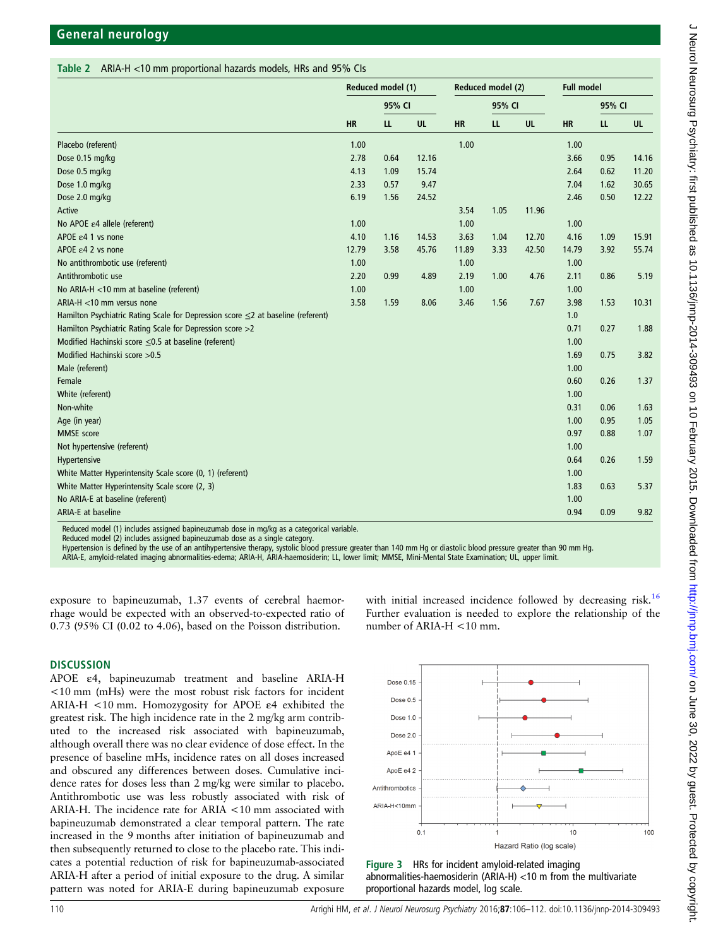#### <span id="page-4-0"></span>Table 2 ARIA-H <10 mm proportional hazards models, HRs and 95% CIs

|                                                                                        | Reduced model (1) |        |       | Reduced model (2) |        |           | <b>Full model</b> |           |           |
|----------------------------------------------------------------------------------------|-------------------|--------|-------|-------------------|--------|-----------|-------------------|-----------|-----------|
|                                                                                        |                   | 95% CI |       |                   | 95% CI |           |                   | 95% CI    |           |
|                                                                                        | <b>HR</b>         | LL     | UL    | <b>HR</b>         | L      | <b>UL</b> | <b>HR</b>         | <b>LL</b> | <b>UL</b> |
| Placebo (referent)                                                                     | 1.00              |        |       | 1.00              |        |           | 1.00              |           |           |
| Dose 0.15 mg/kg                                                                        | 2.78              | 0.64   | 12.16 |                   |        |           | 3.66              | 0.95      | 14.16     |
| Dose 0.5 mg/kg                                                                         | 4.13              | 1.09   | 15.74 |                   |        |           | 2.64              | 0.62      | 11.20     |
| Dose 1.0 mg/kg                                                                         | 2.33              | 0.57   | 9.47  |                   |        |           | 7.04              | 1.62      | 30.65     |
| Dose 2.0 mg/kg                                                                         | 6.19              | 1.56   | 24.52 |                   |        |           | 2.46              | 0.50      | 12.22     |
| Active                                                                                 |                   |        |       | 3.54              | 1.05   | 11.96     |                   |           |           |
| No APOE ε4 allele (referent)                                                           | 1.00              |        |       | 1.00              |        |           | 1.00              |           |           |
| APOE $\varepsilon$ 4 1 vs none                                                         | 4.10              | 1.16   | 14.53 | 3.63              | 1.04   | 12.70     | 4.16              | 1.09      | 15.91     |
| APOE $\varepsilon$ 4 2 vs none                                                         | 12.79             | 3.58   | 45.76 | 11.89             | 3.33   | 42.50     | 14.79             | 3.92      | 55.74     |
| No antithrombotic use (referent)                                                       | 1.00              |        |       | 1.00              |        |           | 1.00              |           |           |
| Antithrombotic use                                                                     | 2.20              | 0.99   | 4.89  | 2.19              | 1.00   | 4.76      | 2.11              | 0.86      | 5.19      |
| No ARIA-H <10 mm at baseline (referent)                                                | 1.00              |        |       | 1.00              |        |           | 1.00              |           |           |
| ARIA-H <10 mm versus none                                                              | 3.58              | 1.59   | 8.06  | 3.46              | 1.56   | 7.67      | 3.98              | 1.53      | 10.31     |
| Hamilton Psychiatric Rating Scale for Depression score $\leq$ 2 at baseline (referent) |                   |        |       |                   |        |           | 1.0               |           |           |
| Hamilton Psychiatric Rating Scale for Depression score >2                              |                   |        |       |                   |        |           | 0.71              | 0.27      | 1.88      |
| Modified Hachinski score ≤0.5 at baseline (referent)                                   |                   |        |       |                   |        |           | 1.00              |           |           |
| Modified Hachinski score > 0.5                                                         |                   |        |       |                   |        |           | 1.69              | 0.75      | 3.82      |
| Male (referent)                                                                        |                   |        |       |                   |        |           | 1.00              |           |           |
| Female                                                                                 |                   |        |       |                   |        |           | 0.60              | 0.26      | 1.37      |
| White (referent)                                                                       |                   |        |       |                   |        |           | 1.00              |           |           |
| Non-white                                                                              |                   |        |       |                   |        |           | 0.31              | 0.06      | 1.63      |
| Age (in year)                                                                          |                   |        |       |                   |        |           | 1.00              | 0.95      | 1.05      |
| <b>MMSE</b> score                                                                      |                   |        |       |                   |        |           | 0.97              | 0.88      | 1.07      |
| Not hypertensive (referent)                                                            |                   |        |       |                   |        |           | 1.00              |           |           |
| Hypertensive                                                                           |                   |        |       |                   |        |           | 0.64              | 0.26      | 1.59      |
| White Matter Hyperintensity Scale score (0, 1) (referent)                              |                   |        |       |                   |        |           | 1.00              |           |           |
| White Matter Hyperintensity Scale score (2, 3)                                         |                   |        |       |                   |        |           | 1.83              | 0.63      | 5.37      |
| No ARIA-E at baseline (referent)                                                       |                   |        |       |                   |        |           | 1.00              |           |           |
| ARIA-E at baseline                                                                     |                   |        |       |                   |        |           | 0.94              | 0.09      | 9.82      |
|                                                                                        | $\cdots$          |        |       |                   |        |           |                   |           |           |

Reduced model (1) includes assigned bapineuzumab dose in mg/kg as a categorical variable.

Reduced model (2) includes assigned bapineuzumab dose as a single category.

Hypertension is defined by the use of an antihypertensive therapy, systolic blood pressure greater than 140 mm Hg or diastolic blood pressure greater than 90 mm Hg.

ARIA-E, amyloid-related imaging abnormalities-edema; ARIA-H, ARIA-haemosiderin; LL, lower limit; MMSE, Mini-Mental State Examination; UL, upper limit.

exposure to bapineuzumab, 1.37 events of cerebral haemorrhage would be expected with an observed-to-expected ratio of 0.73 (95% CI (0.02 to 4.06), based on the Poisson distribution.

#### **DISCUSSION**

APOE ε4, bapineuzumab treatment and baseline ARIA-H <10 mm (mHs) were the most robust risk factors for incident ARIA-H <10 mm. Homozygosity for APOE ε4 exhibited the greatest risk. The high incidence rate in the 2 mg/kg arm contributed to the increased risk associated with bapineuzumab, although overall there was no clear evidence of dose effect. In the presence of baseline mHs, incidence rates on all doses increased and obscured any differences between doses. Cumulative incidence rates for doses less than 2 mg/kg were similar to placebo. Antithrombotic use was less robustly associated with risk of ARIA-H. The incidence rate for ARIA <10 mm associated with bapineuzumab demonstrated a clear temporal pattern. The rate increased in the 9 months after initiation of bapineuzumab and then subsequently returned to close to the placebo rate. This indicates a potential reduction of risk for bapineuzumab-associated ARIA-H after a period of initial exposure to the drug. A similar pattern was noted for ARIA-E during bapineuzumab exposure

Dose 0.15 Dose 0.5 Dose 1.0 Dose  $2.0$ ApoE e4 ApoE e4 2 Antithrombotics ARIA-H<10mm  $0.1$  $10<sup>10</sup>$  $100$ Hazard Ratio (log scale)

with initial increased incidence followed by decreasing risk.<sup>[16](#page-6-0)</sup> Further evaluation is needed to explore the relationship of the

number of ARIA-H <10 mm.

Figure 3 HRs for incident amyloid-related imaging abnormalities-haemosiderin (ARIA-H) <10 m from the multivariate proportional hazards model, log scale.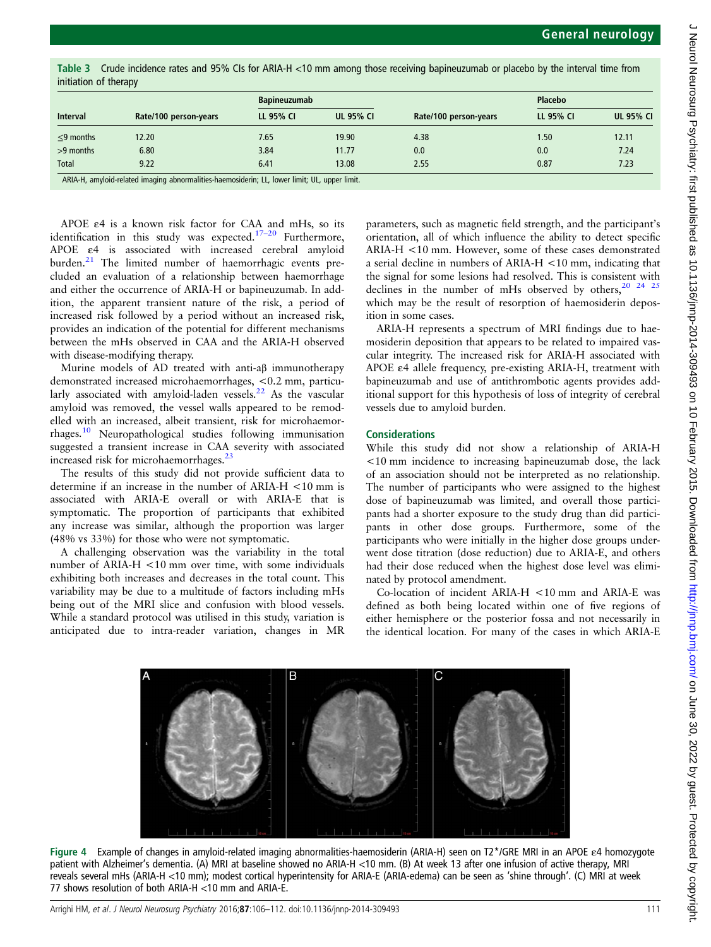| <b>Interval</b> |                       | <b>Bapineuzumab</b> |                  |                       | <b>Placebo</b> |                  |  |
|-----------------|-----------------------|---------------------|------------------|-----------------------|----------------|------------------|--|
|                 | Rate/100 person-years | LL 95% CI           | <b>UL 95% CI</b> | Rate/100 person-years | LL 95% CI      | <b>UL 95% CI</b> |  |
| $\leq$ 9 months | 12.20                 | 7.65                | 19.90            | 4.38                  | 1.50           | 12.11            |  |
| $>9$ months     | 6.80                  | 3.84                | 11.77            | 0.0                   | 0.0            | 7.24             |  |
| <b>Total</b>    | 9.22                  | 6.41                | 13.08            | 2.55                  | 0.87           | 7.23             |  |

<span id="page-5-0"></span>Table 3 Crude incidence rates and 95% CIs for ARIA-H <10 mm among those receiving bapineuzumab or placebo by the interval time from initiation of therapy

ARIA-H, amyloid-related imaging abnormalities-haemosiderin; LL, lower limit; UL, upper limit.

APOE ε4 is a known risk factor for CAA and mHs, so its identification in this study was expected.<sup>17-[20](#page-6-0)</sup> Furthermore, APOE ε4 is associated with increased cerebral amyloid burden.<sup>21</sup> The limited number of haemorrhagic events precluded an evaluation of a relationship between haemorrhage and either the occurrence of ARIA-H or bapineuzumab. In addition, the apparent transient nature of the risk, a period of increased risk followed by a period without an increased risk, provides an indication of the potential for different mechanisms between the mHs observed in CAA and the ARIA-H observed with disease-modifying therapy.

Murine models of AD treated with anti-aβ immunotherapy demonstrated increased microhaemorrhages, <0.2 mm, particu-larly associated with amyloid-laden vessels.<sup>[22](#page-6-0)</sup> As the vascular amyloid was removed, the vessel walls appeared to be remodelled with an increased, albeit transient, risk for microhaemorrhages.[10](#page-6-0) Neuropathological studies following immunisation suggested a transient increase in CAA severity with associated increased risk for microhaemorrhages.<sup>23</sup>

The results of this study did not provide sufficient data to determine if an increase in the number of ARIA-H <10 mm is associated with ARIA-E overall or with ARIA-E that is symptomatic. The proportion of participants that exhibited any increase was similar, although the proportion was larger (48% vs 33%) for those who were not symptomatic.

A challenging observation was the variability in the total number of ARIA-H <10 mm over time, with some individuals exhibiting both increases and decreases in the total count. This variability may be due to a multitude of factors including mHs being out of the MRI slice and confusion with blood vessels. While a standard protocol was utilised in this study, variation is anticipated due to intra-reader variation, changes in MR

parameters, such as magnetic field strength, and the participant's orientation, all of which influence the ability to detect specific ARIA-H <10 mm. However, some of these cases demonstrated a serial decline in numbers of ARIA-H <10 mm, indicating that the signal for some lesions had resolved. This is consistent with declines in the number of mHs observed by others,<sup>20</sup> <sup>24</sup> <sup>25</sup> which may be the result of resorption of haemosiderin deposition in some cases.

ARIA-H represents a spectrum of MRI findings due to haemosiderin deposition that appears to be related to impaired vascular integrity. The increased risk for ARIA-H associated with APOE ε4 allele frequency, pre-existing ARIA-H, treatment with bapineuzumab and use of antithrombotic agents provides additional support for this hypothesis of loss of integrity of cerebral vessels due to amyloid burden.

## Considerations

While this study did not show a relationship of ARIA-H <10 mm incidence to increasing bapineuzumab dose, the lack of an association should not be interpreted as no relationship. The number of participants who were assigned to the highest dose of bapineuzumab was limited, and overall those participants had a shorter exposure to the study drug than did participants in other dose groups. Furthermore, some of the participants who were initially in the higher dose groups underwent dose titration (dose reduction) due to ARIA-E, and others had their dose reduced when the highest dose level was eliminated by protocol amendment.

Co-location of incident ARIA-H <10 mm and ARIA-E was defined as both being located within one of five regions of either hemisphere or the posterior fossa and not necessarily in the identical location. For many of the cases in which ARIA-E



Figure 4 Example of changes in amyloid-related imaging abnormalities-haemosiderin (ARIA-H) seen on T2\*/GRE MRI in an APOE ε4 homozygote patient with Alzheimer's dementia. (A) MRI at baseline showed no ARIA-H <10 mm. (B) At week 13 after one infusion of active therapy, MRI reveals several mHs (ARIA-H <10 mm); modest cortical hyperintensity for ARIA-E (ARIA-edema) can be seen as 'shine through'. (C) MRI at week 77 shows resolution of both ARIA-H <10 mm and ARIA-E.